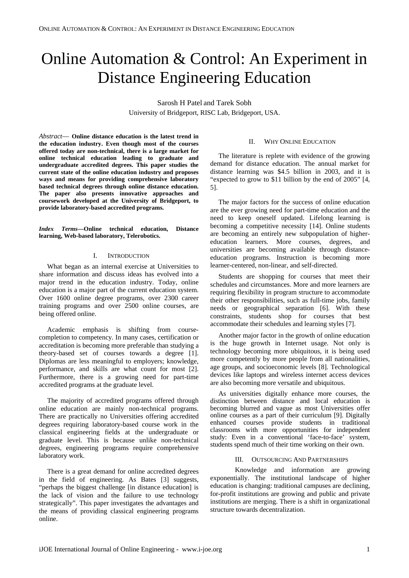# Online Automation & Control: An Experiment in Distance Engineering Education

Sarosh H Patel and Tarek Sobh University of Bridgeport, RISC Lab, Bridgeport, USA.

*Abstract*— **Online distance education is the latest trend in the education industry. Even though most of the courses offered today are non-technical, there is a large market for online technical education leading to graduate and undergraduate accredited degrees. This paper studies the current state of the online education industry and proposes ways and means for providing comprehensive laboratory based technical degrees through online distance education. The paper also presents innovative approaches and coursework developed at the University of Bridgeport, to provide laboratory-based accredited programs.**

#### *Index Terms***—Online technical education, Distance learning, Web-based laboratory, Telerobotics.**

#### I. **INTRODUCTION**

What began as an internal exercise at Universities to share information and discuss ideas has evolved into a major trend in the education industry. Today, online education is a major part of the current education system. Over 1600 online degree programs, over 2300 career training programs and over 2500 online courses, are being offered online.

Academic emphasis is shifting from coursecompletion to competency*.* In many cases, certification or accreditation is becoming more preferable than studying a theory-based set of courses towards a degree [1]. Diplomas are less meaningful to employers; knowledge, performance, and skills are what count for most [2]. Furthermore, there is a growing need for part-time accredited programs at the graduate level.

The majority of accredited programs offered through online education are mainly non-technical programs. There are practically no Universities offering accredited degrees requiring laboratory-based course work in the classical engineering fields at the undergraduate or graduate level. This is because unlike non-technical degrees, engineering programs require comprehensive laboratory work.

There is a great demand for online accredited degrees in the field of engineering. As Bates [3] suggests, "perhaps the biggest challenge [in distance education] is the lack of vision and the failure to use technology strategically". This paper investigates the advantages and the means of providing classical engineering programs online.

#### II. WHY ONLINE EDUCATION

The literature is replete with evidence of the growing demand for distance education. The annual market for distance learning was \$4.5 billion in 2003, and it is "expected to grow to \$11 billion by the end of 2005" [4, 5].

The major factors for the success of online education are the ever growing need for part-time education and the need to keep oneself updated. Lifelong learning is becoming a competitive necessity [14]. Online students are becoming an entirely new subpopulation of highereducation learners*.* More courses, degrees, and universities are becoming available through distanceeducation programs. Instruction is becoming more learner-centered, non-linear, and self-directed.

Students are shopping for courses that meet their schedules and circumstances. More and more learners are requiring flexibility in program structure to accommodate their other responsibilities, such as full-time jobs, family needs or geographical separation [6]. With these constraints, students shop for courses that best accommodate their schedules and learning styles [7].

Another major factor in the growth of online education is the huge growth in Internet usage. Not only is technology becoming more ubiquitous, it is being used more competently by more people from all nationalities, age groups, and socioeconomic levels [8]. Technological devices like laptops and wireless internet access devices are also becoming more versatile and ubiquitous.

As universities digitally enhance more courses, the distinction between distance and local education is becoming blurred and vague as most Universities offer online courses as a part of their curriculum [9]. Digitally enhanced courses provide students in traditional classrooms with more opportunities for independent study: Even in a conventional 'face-to-face' system, students spend much of their time working on their own.

#### III. OUTSOURCING AND PARTNERSHIPS

Knowledge and information are growing exponentially. The institutional landscape of higher education is changing: traditional campuses are declining, for-profit institutions are growing and public and private institutions are merging. There is a shift in organizational structure towards decentralization.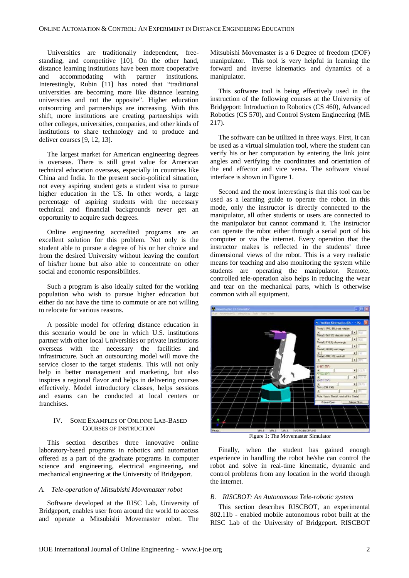Universities are traditionally independent, freestanding, and competitive [10]. On the other hand, distance learning institutions have been more cooperative and accommodating with partner institutions. Interestingly, Rubin [11] has noted that "traditional universities are becoming more like distance learning universities and not the opposite". Higher education outsourcing and partnerships are increasing. With this shift, more institutions are creating partnerships with other colleges, universities, companies, and other kinds of institutions to share technology and to produce and deliver courses [9, 12, 13].

The largest market for American engineering degrees is overseas. There is still great value for American technical education overseas, especially in countries like China and India. In the present socio-political situation, not every aspiring student gets a student visa to pursue higher education in the US. In other words, a large percentage of aspiring students with the necessary technical and financial backgrounds never get an opportunity to acquire such degrees.

Online engineering accredited programs are an excellent solution for this problem. Not only is the student able to pursue a degree of his or her choice and from the desired University without leaving the comfort of his/her home but also able to concentrate on other social and economic responsibilities.

Such a program is also ideally suited for the working population who wish to pursue higher education but either do not have the time to commute or are not willing to relocate for various reasons.

A possible model for offering distance education in this scenario would be one in which U.S. institutions partner with other local Universities or private institutions overseas with the necessary the facilities and infrastructure. Such an outsourcing model will move the service closer to the target students. This will not only help in better management and marketing, but also inspires a regional flavor and helps in delivering courses effectively. Model introductory classes, helps sessions and exams can be conducted at local centers or franchises.

## IV. SOME EXAMPLES OF ONLINNE LAB-BASED COURSES OF INSTRUCTION

This section describes three innovative online laboratory-based programs in robotics and automation offered as a part of the graduate programs in computer science and engineering, electrical engineering, and mechanical engineering at the University of Bridgeport.

### *A. Tele-operation of Mitsubishi Movemaster robot*

Software developed at the RISC Lab, University of Bridgeport, enables user from around the world to access and operate a Mitsubishi Movemaster robot. The Mitsubishi Movemaster is a 6 Degree of freedom (DOF) manipulator. This tool is very helpful in learning the forward and inverse kinematics and dynamics of a manipulator.

This software tool is being effectively used in the instruction of the following courses at the University of Bridgeport: Introduction to Robotics (CS 460), Advanced Robotics (CS 570), and Control System Engineering (ME 217).

The software can be utilized in three ways. First, it can be used as a virtual simulation tool, where the student can verify his or her computation by entering the link joint angles and verifying the coordinates and orientation of the end effector and vice versa. The software visual interface is shown in Figure 1.

Second and the most interesting is that this tool can be used as a learning guide to operate the robot. In this mode, only the instructor is directly connected to the manipulator, all other students or users are connected to the manipulator but cannot command it. The instructor can operate the robot either through a serial port of his computer or via the internet. Every operation that the instructor makes is reflected in the students' three dimensional views of the robot. This is a very realistic means for teaching and also monitoring the system while students are operating the manipulator. Remote, controlled tele-operation also helps in reducing the wear and tear on the mechanical parts, which is otherwise common with all equipment.



Figure 1: The Movemaster Simulator

Finally, when the student has gained enough experience in handling the robot he/she can control the robot and solve in real-time kinematic, dynamic and control problems from any location in the world through the internet.

#### *B. RISCBOT: An Autonomous Tele-robotic system*

This section describes RISCBOT, an experimental 802.11b - enabled mobile autonomous robot built at the RISC Lab of the University of Bridgeport. RISCBOT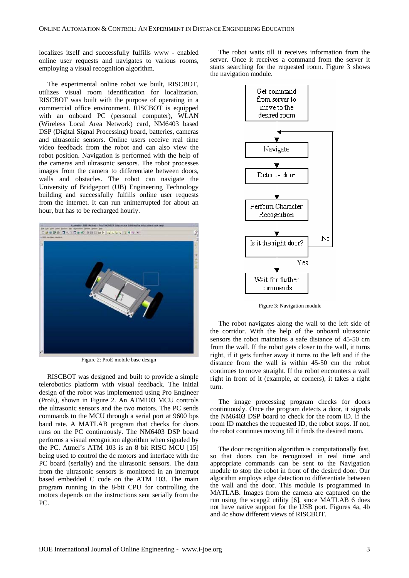localizes itself and successfully fulfills www - enabled online user requests and navigates to various rooms, employing a visual recognition algorithm.

The experimental online robot we built, RISCBOT, utilizes visual room identification for localization. RISCBOT was built with the purpose of operating in a commercial office environment. RISCBOT is equipped with an onboard PC (personal computer), WLAN (Wireless Local Area Network) card, NM6403 based DSP (Digital Signal Processing) board, batteries, cameras and ultrasonic sensors. Online users receive real time video feedback from the robot and can also view the robot position. Navigation is performed with the help of the cameras and ultrasonic sensors. The robot processes images from the camera to differentiate between doors, walls and obstacles. The robot can navigate the University of Bridgeport (UB) Engineering Technology building and successfully fulfills online user requests from the internet. It can run uninterrupted for about an hour, but has to be recharged hourly.



Figure 2: ProE mobile base design

RISCBOT was designed and built to provide a simple telerobotics platform with visual feedback. The initial design of the robot was implemented using Pro Engineer (ProE), shown in Figure 2. An ATM103 MCU controls the ultrasonic sensors and the two motors. The PC sends commands to the MCU through a serial port at 9600 bps baud rate. A MATLAB program that checks for doors runs on the PC continuously. The NM6403 DSP board performs a visual recognition algorithm when signaled by the PC. Atmel's ATM 103 is an 8 bit RISC MCU [15] being used to control the dc motors and interface with the PC board (serially) and the ultrasonic sensors. The data from the ultrasonic sensors is monitored in an interrupt based embedded C code on the ATM 103. The main program running in the 8-bit CPU for controlling the motors depends on the instructions sent serially from the PC.

The robot waits till it receives information from the server. Once it receives a command from the server it starts searching for the requested room. Figure 3 shows the navigation module.



Figure 3: Navigation module

The robot navigates along the wall to the left side of the corridor. With the help of the onboard ultrasonic sensors the robot maintains a safe distance of 45-50 cm from the wall. If the robot gets closer to the wall, it turns right, if it gets further away it turns to the left and if the distance from the wall is within 45-50 cm the robot continues to move straight. If the robot encounters a wall right in front of it (example, at corners), it takes a right turn.

The image processing program checks for doors continuously. Once the program detects a door, it signals the NM6403 DSP board to check for the room ID. If the room ID matches the requested ID, the robot stops. If not, the robot continues moving till it finds the desired room.

The door recognition algorithm is computationally fast, so that doors can be recognized in real time and appropriate commands can be sent to the Navigation module to stop the robot in front of the desired door. Our algorithm employs edge detection to differentiate between the wall and the door. This module is programmed in MATLAB. Images from the camera are captured on the run using the vcapg2 utility [6], since MATLAB 6 does not have native support for the USB port. Figures 4a, 4b and 4c show different views of RISCBOT.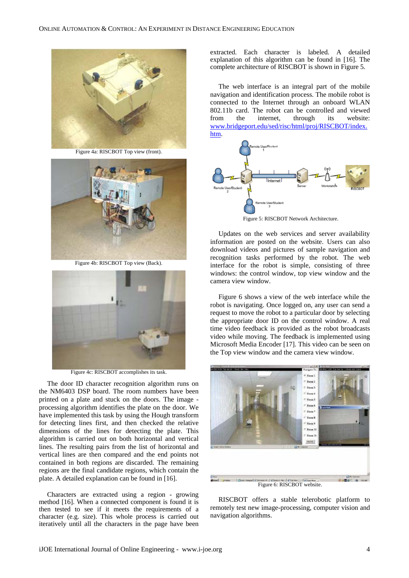

Figure 4a: RISCBOT Top view (front).



Figure 4b: RISCBOT Top view (Back).



Figure 4c: RISCBOT accomplishes its task.

The door ID character recognition algorithm runs on the NM6403 DSP board. The room numbers have been printed on a plate and stuck on the doors. The image processing algorithm identifies the plate on the door. We have implemented this task by using the Hough transform for detecting lines first, and then checked the relative dimensions of the lines for detecting the plate. This algorithm is carried out on both horizontal and vertical lines. The resulting pairs from the list of horizontal and vertical lines are then compared and the end points not contained in both regions are discarded. The remaining regions are the final candidate regions, which contain the plate. A detailed explanation can be found in [16].

Characters are extracted using a region - growing method [16]. When a connected component is found it is then tested to see if it meets the requirements of a character (e.g. size). This whole process is carried out iteratively until all the characters in the page have been

extracted. Each character is labeled. A detailed explanation of this algorithm can be found in [16]. The complete architecture of RISCBOT is shown in Figure 5.

The web interface is an integral part of the mobile navigation and identification process. The mobile robot is connected to the Internet through an onboard WLAN 802.11b card. The robot can be controlled and viewed from the internet, through its website: [www.bridgeport.edu/sed/risc/html/proj/RISCBOT/index.](http://www.bridgeport.edu/sed/risc/html/proj/riscbot/index.htm) [htm.](http://www.bridgeport.edu/sed/risc/html/proj/riscbot/index.htm)



Figure 5: RISCBOT Network Architecture.

Updates on the web services and server availability information are posted on the website. Users can also download videos and pictures of sample navigation and recognition tasks performed by the robot. The web interface for the robot is simple, consisting of three windows: the control window, top view window and the camera view window.

Figure 6 shows a view of the web interface while the robot is navigating. Once logged on, any user can send a request to move the robot to a particular door by selecting the appropriate door ID on the control window. A real time video feedback is provided as the robot broadcasts video while moving. The feedback is implemented using Microsoft Media Encoder [17]. This video can be seen on the Top view window and the camera view window.



RISCBOT offers a stable telerobotic platform to remotely test new image-processing, computer vision and navigation algorithms.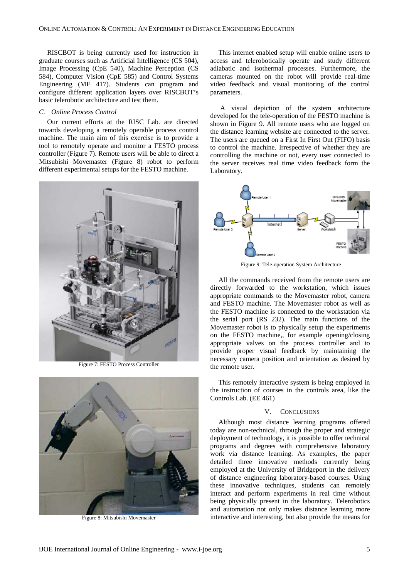RISCBOT is being currently used for instruction in graduate courses such as Artificial Intelligence (CS 504), Image Processing (CpE 540), Machine Perception (CS 584), Computer Vision (CpE 585) and Control Systems Engineering (ME 417). Students can program and configure different application layers over RISCBOT's basic telerobotic architecture and test them.

#### *C. Online Process Control*

Our current efforts at the RISC Lab. are directed towards developing a remotely operable process control machine. The main aim of this exercise is to provide a tool to remotely operate and monitor a FESTO process controller (Figure 7). Remote users will be able to direct a Mitsubishi Movemaster (Figure 8) robot to perform different experimental setups for the FESTO machine.



Figure 7: FESTO Process Controller



Figure 8: Mitsubishi Movemaster

This internet enabled setup will enable online users to access and telerobotically operate and study different adiabatic and isothermal processes. Furthermore, the cameras mounted on the robot will provide real-time video feedback and visual monitoring of the control parameters.

 A visual depiction of the system architecture developed for the tele-operation of the FESTO machine is shown in Figure 9. All remote users who are logged on the distance learning website are connected to the server. The users are queued on a First In First Out (FIFO) basis to control the machine. Irrespective of whether they are controlling the machine or not, every user connected to the server receives real time video feedback form the Laboratory.



Figure 9: Tele-operation System Architecture

All the commands received from the remote users are directly forwarded to the workstation, which issues appropriate commands to the Movemaster robot, camera and FESTO machine. The Movemaster robot as well as the FESTO machine is connected to the workstation via the serial port (RS 232). The main functions of the Movemaster robot is to physically setup the experiments on the FESTO machine,, for example opening/closing appropriate valves on the process controller and to provide proper visual feedback by maintaining the necessary camera position and orientation as desired by the remote user.

This remotely interactive system is being employed in the instruction of courses in the controls area, like the Controls Lab. (EE 461)

## V. CONCLUSIONS

Although most distance learning programs offered today are non-technical, through the proper and strategic deployment of technology, it is possible to offer technical programs and degrees with comprehensive laboratory work via distance learning. As examples, the paper detailed three innovative methods currently being employed at the University of Bridgeport in the delivery of distance engineering laboratory-based courses. Using these innovative techniques, students can remotely interact and perform experiments in real time without being physically present in the laboratory. Telerobotics and automation not only makes distance learning more interactive and interesting, but also provide the means for